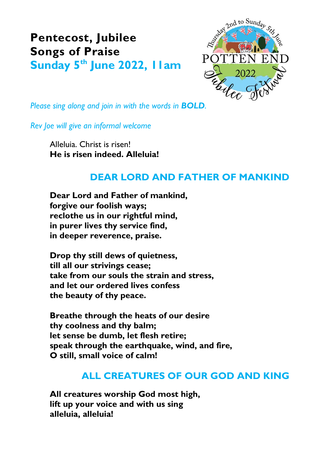# **Pentecost, Jubilee Songs of Praise Sunday 5 th June 2022, 11am**



*Please sing along and join in with the words in BOLD.*

*Rev Joe will give an informal welcome*

Alleluia. Christ is risen! **He is risen indeed. Alleluia!**

# **DEAR LORD AND FATHER OF MANKIND**

**Dear Lord and Father of mankind, forgive our foolish ways; reclothe us in our rightful mind, in purer lives thy service find, in deeper reverence, praise.**

**Drop thy still dews of quietness, till all our strivings cease; take from our souls the strain and stress, and let our ordered lives confess the beauty of thy peace.**

**Breathe through the heats of our desire thy coolness and thy balm; let sense be dumb, let flesh retire; speak through the earthquake, wind, and fire, O still, small voice of calm!**

## **ALL CREATURES OF OUR GOD AND KING**

**All creatures worship God most high, lift up your voice and with us sing alleluia, alleluia!**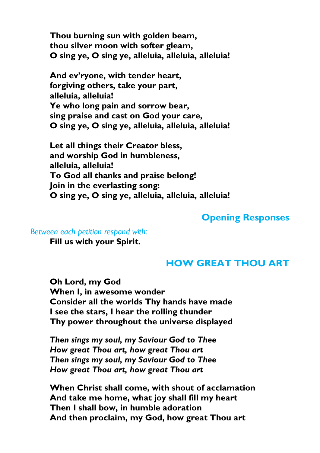**Thou burning sun with golden beam, thou silver moon with softer gleam, O sing ye, O sing ye, alleluia, alleluia, alleluia!**

**And ev'ryone, with tender heart, forgiving others, take your part, alleluia, alleluia! Ye who long pain and sorrow bear, sing praise and cast on God your care, O sing ye, O sing ye, alleluia, alleluia, alleluia!**

**Let all things their Creator bless, and worship God in humbleness, alleluia, alleluia! To God all thanks and praise belong! Join in the everlasting song: O sing ye, O sing ye, alleluia, alleluia, alleluia!**

### **Opening Responses**

*Between each petition respond with:*

**Fill us with your Spirit.**

#### **HOW GREAT THOU ART**

**Oh Lord, my God When I, in awesome wonder Consider all the worlds Thy hands have made I see the stars, I hear the rolling thunder Thy power throughout the universe displayed**

*Then sings my soul, my Saviour God to Thee How great Thou art, how great Thou art Then sings my soul, my Saviour God to Thee How great Thou art, how great Thou art*

**When Christ shall come, with shout of acclamation And take me home, what joy shall fill my heart Then I shall bow, in humble adoration And then proclaim, my God, how great Thou art**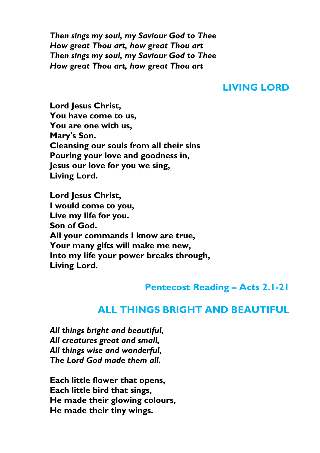*Then sings my soul, my Saviour God to Thee How great Thou art, how great Thou art Then sings my soul, my Saviour God to Thee How great Thou art, how great Thou art*

### **LIVING LORD**

**Lord Jesus Christ, You have come to us, You are one with us, Mary's Son. Cleansing our souls from all their sins Pouring your love and goodness in, Jesus our love for you we sing, Living Lord.**

**Lord Jesus Christ, I would come to you, Live my life for you. Son of God. All your commands I know are true, Your many gifts will make me new, Into my life your power breaks through, Living Lord.**

**Pentecost Reading – Acts 2.1-21**

### **ALL THINGS BRIGHT AND BEAUTIFUL**

*All things bright and beautiful, All creatures great and small, All things wise and wonderful, The Lord God made them all.*

**Each little flower that opens, Each little bird that sings, He made their glowing colours, He made their tiny wings.**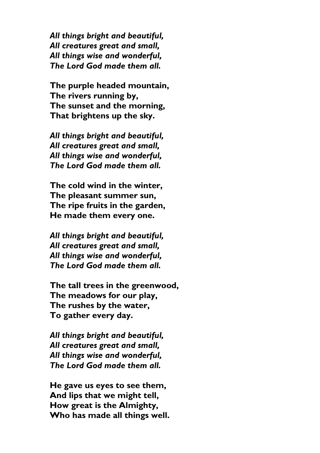*All things bright and beautiful, All creatures great and small, All things wise and wonderful, The Lord God made them all.*

**The purple headed mountain, The rivers running by, The sunset and the morning, That brightens up the sky.**

*All things bright and beautiful, All creatures great and small, All things wise and wonderful, The Lord God made them all.*

**The cold wind in the winter, The pleasant summer sun, The ripe fruits in the garden, He made them every one.**

*All things bright and beautiful, All creatures great and small, All things wise and wonderful, The Lord God made them all.*

**The tall trees in the greenwood, The meadows for our play, The rushes by the water, To gather every day.**

*All things bright and beautiful, All creatures great and small, All things wise and wonderful, The Lord God made them all.*

**He gave us eyes to see them, And lips that we might tell, How great is the Almighty, Who has made all things well.**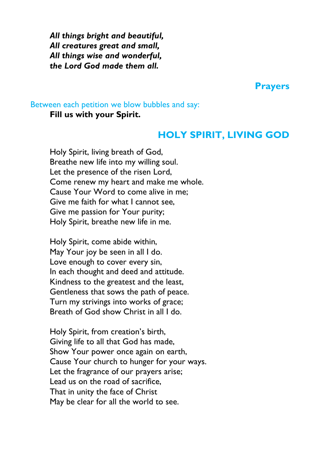*All things bright and beautiful, All creatures great and small, All things wise and wonderful, the Lord God made them all.*

**Prayers**

Between each petition we blow bubbles and say: **Fill us with your Spirit.**

### **HOLY SPIRIT, LIVING GOD**

Holy Spirit, living breath of God, Breathe new life into my willing soul. Let the presence of the risen Lord, Come renew my heart and make me whole. Cause Your Word to come alive in me; Give me faith for what I cannot see. Give me passion for Your purity; Holy Spirit, breathe new life in me.

Holy Spirit, come abide within, May Your joy be seen in all I do. Love enough to cover every sin, In each thought and deed and attitude. Kindness to the greatest and the least, Gentleness that sows the path of peace. Turn my strivings into works of grace; Breath of God show Christ in all I do.

Holy Spirit, from creation's birth, Giving life to all that God has made, Show Your power once again on earth, Cause Your church to hunger for your ways. Let the fragrance of our prayers arise; Lead us on the road of sacrifice, That in unity the face of Christ May be clear for all the world to see.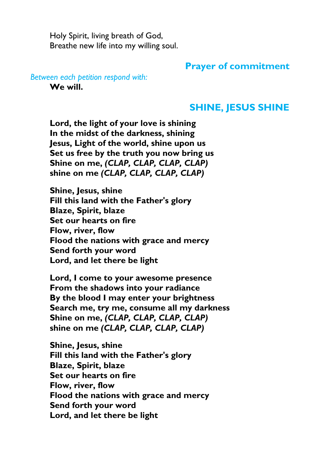Holy Spirit, living breath of God, Breathe new life into my willing soul.

### **Prayer of commitment**

*Between each petition respond with:*

**We will.**

### **SHINE, JESUS SHINE**

**Lord, the light of your love is shining In the midst of the darkness, shining Jesus, Light of the world, shine upon us Set us free by the truth you now bring us Shine on me,** *(CLAP, CLAP, CLAP, CLAP)* **shine on me** *(CLAP, CLAP, CLAP, CLAP)*

**Shine, Jesus, shine Fill this land with the Father's glory Blaze, Spirit, blaze Set our hearts on fire Flow, river, flow Flood the nations with grace and mercy Send forth your word Lord, and let there be light**

**Lord, I come to your awesome presence From the shadows into your radiance By the blood I may enter your brightness Search me, try me, consume all my darkness Shine on me,** *(CLAP, CLAP, CLAP, CLAP)* **shine on me** *(CLAP, CLAP, CLAP, CLAP)*

**Shine, Jesus, shine Fill this land with the Father's glory Blaze, Spirit, blaze Set our hearts on fire Flow, river, flow Flood the nations with grace and mercy Send forth your word Lord, and let there be light**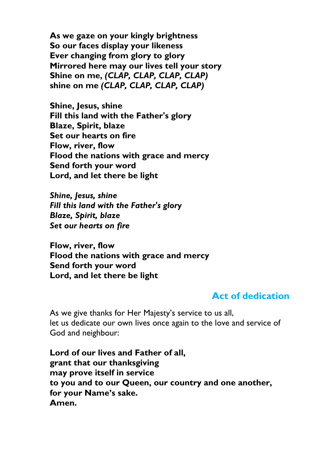**As we gaze on your kingly brightness So our faces display your likeness Ever changing from glory to glory Mirrored here may our lives tell your story Shine on me,** *(CLAP, CLAP, CLAP, CLAP)* **shine on me** *(CLAP, CLAP, CLAP, CLAP)*

**Shine, Jesus, shine Fill this land with the Father's glory Blaze, Spirit, blaze Set our hearts on fire Flow, river, flow Flood the nations with grace and mercy Send forth your word Lord, and let there be light**

*Shine, Jesus, shine Fill this land with the Father's glory Blaze, Spirit, blaze Set our hearts on fire*

**Flow, river, flow Flood the nations with grace and mercy Send forth your word Lord, and let there be light**

### **Act of dedication**

As we give thanks for Her Majesty's service to us all, let us dedicate our own lives once again to the love and service of God and neighbour:

**Lord of our lives and Father of all, grant that our thanksgiving may prove itself in service to you and to our Queen, our country and one another, for your Name's sake. Amen.**